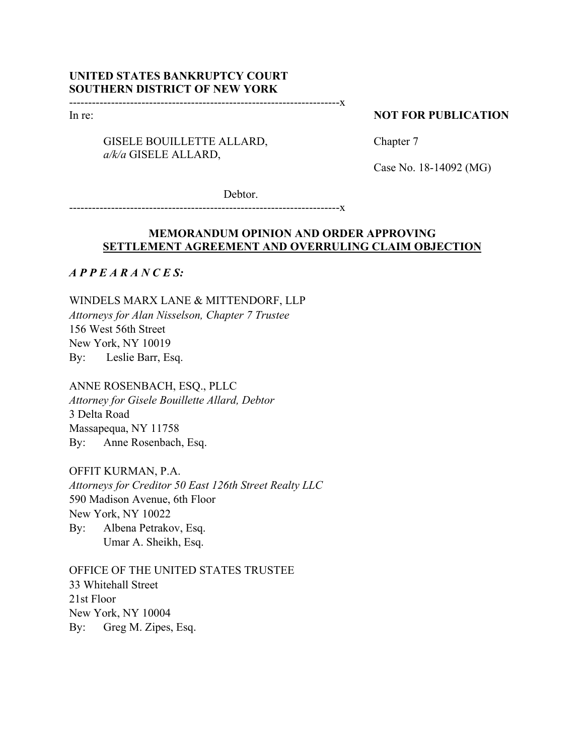# **UNITED STATES BANKRUPTCY COURT SOUTHERN DISTRICT OF NEW YORK**

-----------------------------------------------------------------------x

In re:

# GISELE BOUILLETTE ALLARD, *a/k/a* GISELE ALLARD,

### **NOT FOR PUBLICATION**

Chapter 7

Case No. 18-14092 (MG)

Debtor.

-----------------------------------------------------------------------x

# **MEMORANDUM OPINION AND ORDER APPROVING SETTLEMENT AGREEMENT AND OVERRULING CLAIM OBJECTION**

*A P P E A R A N C E S:*

WINDELS MARX LANE & MITTENDORF, LLP *Attorneys for Alan Nisselson, Chapter 7 Trustee*  156 West 56th Street New York, NY 10019 By: Leslie Barr, Esq.

ANNE ROSENBACH, ESQ., PLLC *Attorney for Gisele Bouillette Allard, Debtor* 3 Delta Road Massapequa, NY 11758 By: Anne Rosenbach, Esq.

OFFIT KURMAN, P.A. *Attorneys for Creditor 50 East 126th Street Realty LLC* 590 Madison Avenue, 6th Floor New York, NY 10022 By: Albena Petrakov, Esq. Umar A. Sheikh, Esq.

OFFICE OF THE UNITED STATES TRUSTEE 33 Whitehall Street 21st Floor New York, NY 10004 By: Greg M. Zipes, Esq.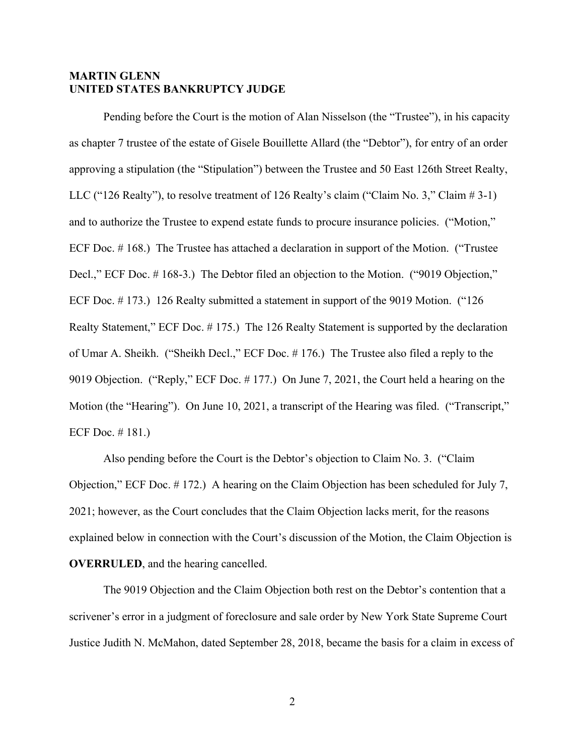# **MARTIN GLENN UNITED STATES BANKRUPTCY JUDGE**

Pending before the Court is the motion of Alan Nisselson (the "Trustee"), in his capacity as chapter 7 trustee of the estate of Gisele Bouillette Allard (the "Debtor"), for entry of an order approving a stipulation (the "Stipulation") between the Trustee and 50 East 126th Street Realty, LLC ("126 Realty"), to resolve treatment of 126 Realty's claim ("Claim No. 3," Claim # 3-1) and to authorize the Trustee to expend estate funds to procure insurance policies. ("Motion," ECF Doc. # 168.) The Trustee has attached a declaration in support of the Motion. ("Trustee Decl.," ECF Doc. #168-3.) The Debtor filed an objection to the Motion. ("9019 Objection," ECF Doc. # 173.) 126 Realty submitted a statement in support of the 9019 Motion. ("126 Realty Statement," ECF Doc. # 175.) The 126 Realty Statement is supported by the declaration of Umar A. Sheikh. ("Sheikh Decl.," ECF Doc. # 176.) The Trustee also filed a reply to the 9019 Objection. ("Reply," ECF Doc. # 177.) On June 7, 2021, the Court held a hearing on the Motion (the "Hearing"). On June 10, 2021, a transcript of the Hearing was filed. ("Transcript," ECF Doc. # 181.)

Also pending before the Court is the Debtor's objection to Claim No. 3. ("Claim Objection," ECF Doc. # 172.) A hearing on the Claim Objection has been scheduled for July 7, 2021; however, as the Court concludes that the Claim Objection lacks merit, for the reasons explained below in connection with the Court's discussion of the Motion, the Claim Objection is **OVERRULED**, and the hearing cancelled.

The 9019 Objection and the Claim Objection both rest on the Debtor's contention that a scrivener's error in a judgment of foreclosure and sale order by New York State Supreme Court Justice Judith N. McMahon, dated September 28, 2018, became the basis for a claim in excess of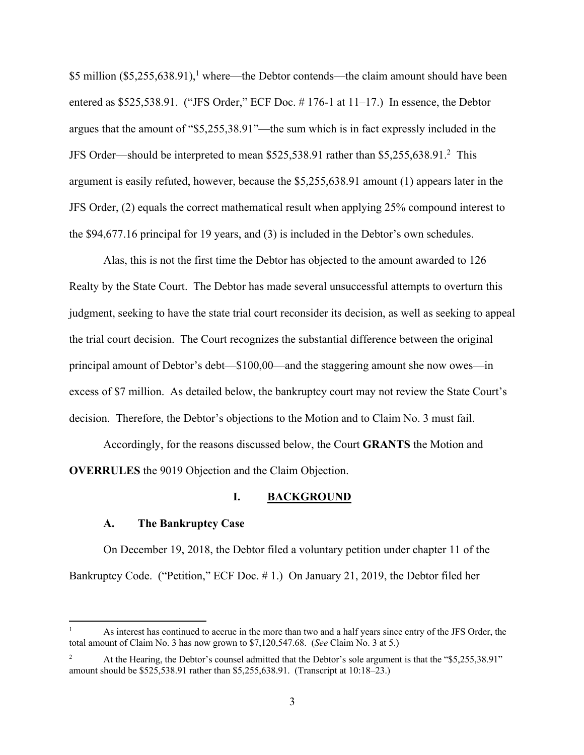\$5 million  $(\$5,255,638.91)$ ,<sup>1</sup> where—the Debtor contends—the claim amount should have been entered as \$525,538.91. ("JFS Order," ECF Doc. #176-1 at 11-17.) In essence, the Debtor argues that the amount of "\$5,255,38.91"—the sum which is in fact expressly included in the JFS Order—should be interpreted to mean \$525,538.91 rather than \$5,255,638.91.2 This argument is easily refuted, however, because the \$5,255,638.91 amount (1) appears later in the JFS Order, (2) equals the correct mathematical result when applying 25% compound interest to the \$94,677.16 principal for 19 years, and (3) is included in the Debtor's own schedules.

Alas, this is not the first time the Debtor has objected to the amount awarded to 126 Realty by the State Court. The Debtor has made several unsuccessful attempts to overturn this judgment, seeking to have the state trial court reconsider its decision, as well as seeking to appeal the trial court decision. The Court recognizes the substantial difference between the original principal amount of Debtor's debt—\$100,00—and the staggering amount she now owes—in excess of \$7 million. As detailed below, the bankruptcy court may not review the State Court's decision. Therefore, the Debtor's objections to the Motion and to Claim No. 3 must fail.

Accordingly, for the reasons discussed below, the Court **GRANTS** the Motion and **OVERRULES** the 9019 Objection and the Claim Objection.

#### **I. BACKGROUND**

#### **A. The Bankruptcy Case**

On December 19, 2018, the Debtor filed a voluntary petition under chapter 11 of the Bankruptcy Code. ("Petition," ECF Doc. # 1.) On January 21, 2019, the Debtor filed her

<sup>1</sup> As interest has continued to accrue in the more than two and a half years since entry of the JFS Order, the total amount of Claim No. 3 has now grown to \$7,120,547.68. (*See* Claim No. 3 at 5.)

<sup>2</sup> At the Hearing, the Debtor's counsel admitted that the Debtor's sole argument is that the "\$5,255,38.91" amount should be \$525,538.91 rather than \$5,255,638.91. (Transcript at 10:18–23.)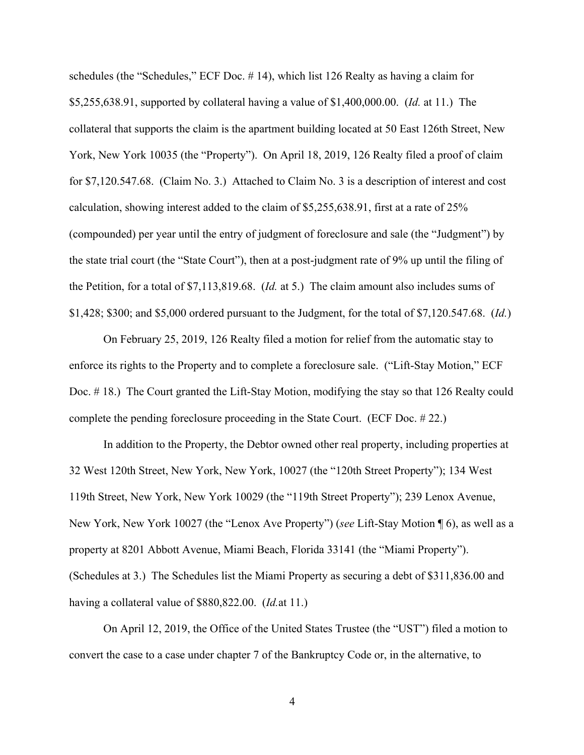schedules (the "Schedules," ECF Doc. # 14), which list 126 Realty as having a claim for \$5,255,638.91, supported by collateral having a value of \$1,400,000.00. (*Id.* at 11.) The collateral that supports the claim is the apartment building located at 50 East 126th Street, New York, New York 10035 (the "Property"). On April 18, 2019, 126 Realty filed a proof of claim for \$7,120.547.68. (Claim No. 3.) Attached to Claim No. 3 is a description of interest and cost calculation, showing interest added to the claim of \$5,255,638.91, first at a rate of 25% (compounded) per year until the entry of judgment of foreclosure and sale (the "Judgment") by the state trial court (the "State Court"), then at a post-judgment rate of 9% up until the filing of the Petition, for a total of \$7,113,819.68. (*Id.* at 5.) The claim amount also includes sums of \$1,428; \$300; and \$5,000 ordered pursuant to the Judgment, for the total of \$7,120.547.68. (*Id.*)

On February 25, 2019, 126 Realty filed a motion for relief from the automatic stay to enforce its rights to the Property and to complete a foreclosure sale. ("Lift-Stay Motion," ECF Doc. # 18.) The Court granted the Lift-Stay Motion, modifying the stay so that 126 Realty could complete the pending foreclosure proceeding in the State Court. (ECF Doc. # 22.)

In addition to the Property, the Debtor owned other real property, including properties at 32 West 120th Street, New York, New York, 10027 (the "120th Street Property"); 134 West 119th Street, New York, New York 10029 (the "119th Street Property"); 239 Lenox Avenue, New York, New York 10027 (the "Lenox Ave Property") (*see* Lift-Stay Motion ¶ 6), as well as a property at 8201 Abbott Avenue, Miami Beach, Florida 33141 (the "Miami Property"). (Schedules at 3.) The Schedules list the Miami Property as securing a debt of \$311,836.00 and having a collateral value of \$880,822.00. (*Id.*at 11.)

On April 12, 2019, the Office of the United States Trustee (the "UST") filed a motion to convert the case to a case under chapter 7 of the Bankruptcy Code or, in the alternative, to

4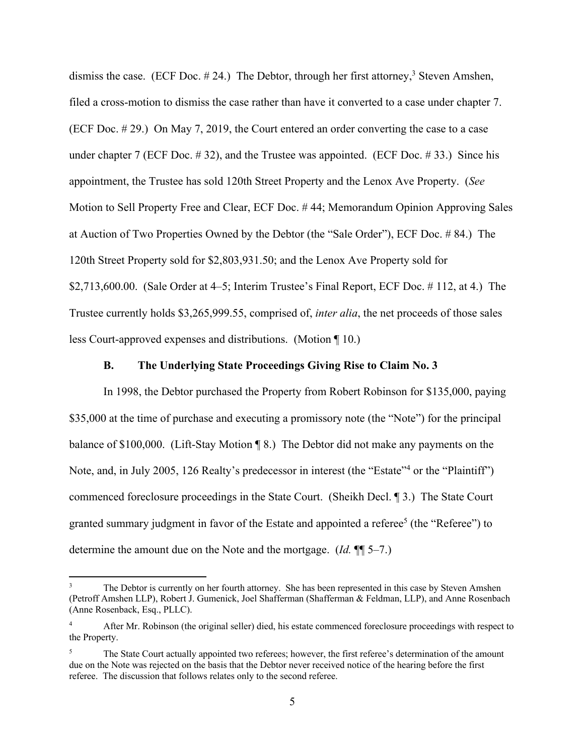dismiss the case. (ECF Doc.  $\#$  24.) The Debtor, through her first attorney,<sup>3</sup> Steven Amshen, filed a cross-motion to dismiss the case rather than have it converted to a case under chapter 7. (ECF Doc. # 29.) On May 7, 2019, the Court entered an order converting the case to a case under chapter 7 (ECF Doc.  $\#$  32), and the Trustee was appointed. (ECF Doc.  $\#$  33.) Since his appointment, the Trustee has sold 120th Street Property and the Lenox Ave Property. (*See*  Motion to Sell Property Free and Clear, ECF Doc. # 44; Memorandum Opinion Approving Sales at Auction of Two Properties Owned by the Debtor (the "Sale Order"), ECF Doc. # 84.) The 120th Street Property sold for \$2,803,931.50; and the Lenox Ave Property sold for \$2,713,600.00. (Sale Order at  $4-5$ ; Interim Trustee's Final Report, ECF Doc.  $\# 112$ , at 4.) The Trustee currently holds \$3,265,999.55, comprised of, *inter alia*, the net proceeds of those sales less Court-approved expenses and distributions. (Motion ¶ 10.)

#### **B. The Underlying State Proceedings Giving Rise to Claim No. 3**

In 1998, the Debtor purchased the Property from Robert Robinson for \$135,000, paying \$35,000 at the time of purchase and executing a promissory note (the "Note") for the principal balance of \$100,000. (Lift-Stay Motion ¶ 8.) The Debtor did not make any payments on the Note, and, in July 2005, 126 Realty's predecessor in interest (the "Estate"<sup>4</sup> or the "Plaintiff") commenced foreclosure proceedings in the State Court. (Sheikh Decl. ¶ 3.) The State Court granted summary judgment in favor of the Estate and appointed a referee<sup>5</sup> (the "Referee") to determine the amount due on the Note and the mortgage. (*Id.* ¶¶ 5–7.)

The Debtor is currently on her fourth attorney. She has been represented in this case by Steven Amshen (Petroff Amshen LLP), Robert J. Gumenick, Joel Shafferman (Shafferman & Feldman, LLP), and Anne Rosenbach (Anne Rosenback, Esq., PLLC).

<sup>4</sup> After Mr. Robinson (the original seller) died, his estate commenced foreclosure proceedings with respect to the Property.

<sup>&</sup>lt;sup>5</sup> The State Court actually appointed two referees; however, the first referee's determination of the amount due on the Note was rejected on the basis that the Debtor never received notice of the hearing before the first referee. The discussion that follows relates only to the second referee.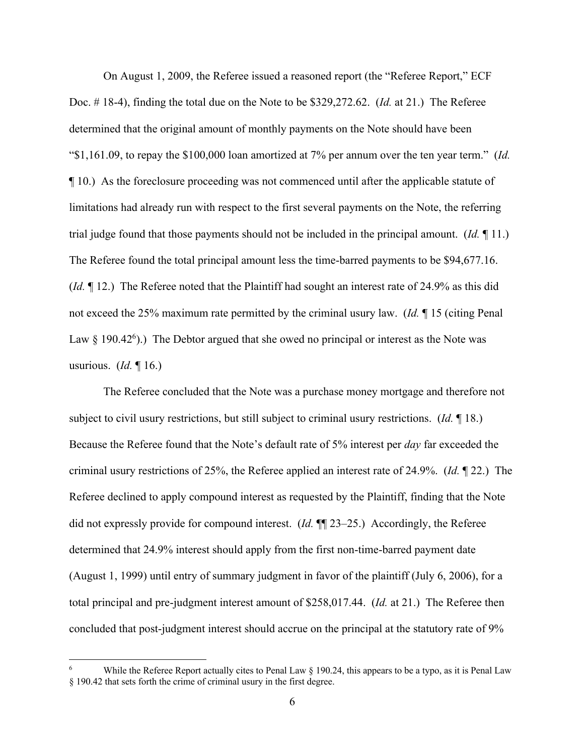On August 1, 2009, the Referee issued a reasoned report (the "Referee Report," ECF Doc. # 18-4), finding the total due on the Note to be \$329,272.62. (*Id.* at 21.) The Referee determined that the original amount of monthly payments on the Note should have been "\$1,161.09, to repay the \$100,000 loan amortized at 7% per annum over the ten year term." (*Id.* ¶ 10.) As the foreclosure proceeding was not commenced until after the applicable statute of limitations had already run with respect to the first several payments on the Note, the referring trial judge found that those payments should not be included in the principal amount. (*Id.* ¶ 11.) The Referee found the total principal amount less the time-barred payments to be \$94,677.16. (*Id.* ¶ 12.) The Referee noted that the Plaintiff had sought an interest rate of 24.9% as this did not exceed the 25% maximum rate permitted by the criminal usury law. (*Id.* ¶ 15 (citing Penal Law  $\S$  190.42<sup>6</sup>).) The Debtor argued that she owed no principal or interest as the Note was usurious. (*Id.* ¶ 16.)

The Referee concluded that the Note was a purchase money mortgage and therefore not subject to civil usury restrictions, but still subject to criminal usury restrictions. (*Id.* ¶ 18.) Because the Referee found that the Note's default rate of 5% interest per *day* far exceeded the criminal usury restrictions of 25%, the Referee applied an interest rate of 24.9%. (*Id.* ¶ 22.) The Referee declined to apply compound interest as requested by the Plaintiff, finding that the Note did not expressly provide for compound interest. (*Id.* ¶¶ 23–25.) Accordingly, the Referee determined that 24.9% interest should apply from the first non-time-barred payment date (August 1, 1999) until entry of summary judgment in favor of the plaintiff (July 6, 2006), for a total principal and pre-judgment interest amount of \$258,017.44. (*Id.* at 21.) The Referee then concluded that post-judgment interest should accrue on the principal at the statutory rate of 9%

While the Referee Report actually cites to Penal Law  $\S$  190.24, this appears to be a typo, as it is Penal Law § 190.42 that sets forth the crime of criminal usury in the first degree.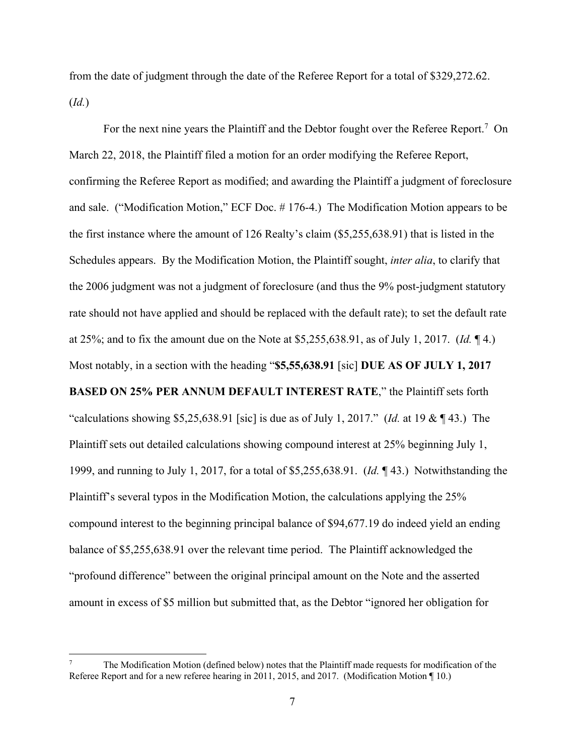from the date of judgment through the date of the Referee Report for a total of \$329,272.62. (*Id.*)

For the next nine years the Plaintiff and the Debtor fought over the Referee Report.<sup>7</sup> On March 22, 2018, the Plaintiff filed a motion for an order modifying the Referee Report, confirming the Referee Report as modified; and awarding the Plaintiff a judgment of foreclosure and sale. ("Modification Motion," ECF Doc. # 176-4.) The Modification Motion appears to be the first instance where the amount of 126 Realty's claim (\$5,255,638.91) that is listed in the Schedules appears. By the Modification Motion, the Plaintiff sought, *inter alia*, to clarify that the 2006 judgment was not a judgment of foreclosure (and thus the 9% post-judgment statutory rate should not have applied and should be replaced with the default rate); to set the default rate at 25%; and to fix the amount due on the Note at \$5,255,638.91, as of July 1, 2017. (*Id.* ¶ 4.) Most notably, in a section with the heading "**\$5,55,638.91** [sic] **DUE AS OF JULY 1, 2017 BASED ON 25% PER ANNUM DEFAULT INTEREST RATE**," the Plaintiff sets forth "calculations showing \$5,25,638.91 [sic] is due as of July 1, 2017." (*Id.* at 19 & ¶ 43.) The Plaintiff sets out detailed calculations showing compound interest at 25% beginning July 1, 1999, and running to July 1, 2017, for a total of \$5,255,638.91. (*Id.* ¶ 43.) Notwithstanding the Plaintiff's several typos in the Modification Motion, the calculations applying the 25% compound interest to the beginning principal balance of \$94,677.19 do indeed yield an ending balance of \$5,255,638.91 over the relevant time period. The Plaintiff acknowledged the

"profound difference" between the original principal amount on the Note and the asserted amount in excess of \$5 million but submitted that, as the Debtor "ignored her obligation for

<sup>7</sup> The Modification Motion (defined below) notes that the Plaintiff made requests for modification of the Referee Report and for a new referee hearing in 2011, 2015, and 2017. (Modification Motion ¶ 10.)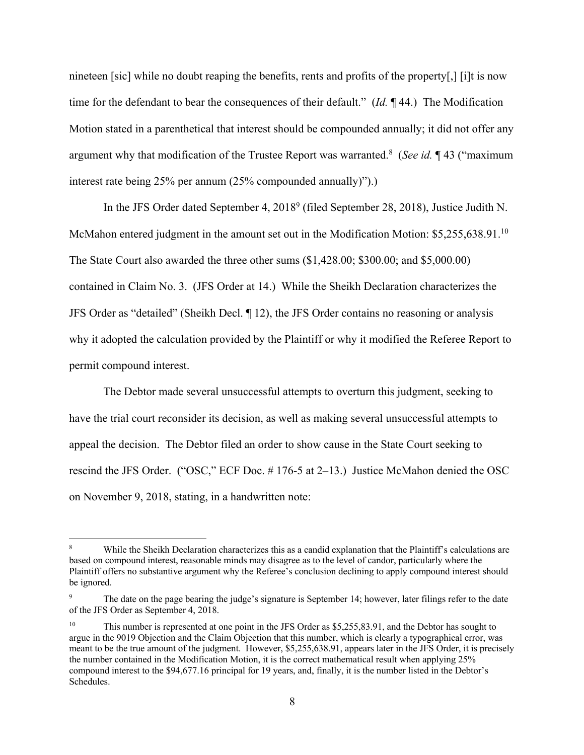nineteen [sic] while no doubt reaping the benefits, rents and profits of the property[,] [i]t is now time for the defendant to bear the consequences of their default." (*Id.* ¶ 44.) The Modification Motion stated in a parenthetical that interest should be compounded annually; it did not offer any argument why that modification of the Trustee Report was warranted.<sup>8</sup> (See id. 143 ("maximum interest rate being 25% per annum (25% compounded annually)").)

In the JFS Order dated September 4, 20189 (filed September 28, 2018), Justice Judith N. McMahon entered judgment in the amount set out in the Modification Motion: \$5,255,638.91.<sup>10</sup> The State Court also awarded the three other sums (\$1,428.00; \$300.00; and \$5,000.00) contained in Claim No. 3. (JFS Order at 14.) While the Sheikh Declaration characterizes the JFS Order as "detailed" (Sheikh Decl. ¶ 12), the JFS Order contains no reasoning or analysis why it adopted the calculation provided by the Plaintiff or why it modified the Referee Report to permit compound interest.

The Debtor made several unsuccessful attempts to overturn this judgment, seeking to have the trial court reconsider its decision, as well as making several unsuccessful attempts to appeal the decision. The Debtor filed an order to show cause in the State Court seeking to rescind the JFS Order. ("OSC," ECF Doc. # 176-5 at 2–13.) Justice McMahon denied the OSC on November 9, 2018, stating, in a handwritten note:

While the Sheikh Declaration characterizes this as a candid explanation that the Plaintiff's calculations are based on compound interest, reasonable minds may disagree as to the level of candor, particularly where the Plaintiff offers no substantive argument why the Referee's conclusion declining to apply compound interest should be ignored.

The date on the page bearing the judge's signature is September 14; however, later filings refer to the date of the JFS Order as September 4, 2018.

<sup>&</sup>lt;sup>10</sup> This number is represented at one point in the JFS Order as \$5,255,83.91, and the Debtor has sought to argue in the 9019 Objection and the Claim Objection that this number, which is clearly a typographical error, was meant to be the true amount of the judgment. However, \$5,255,638.91, appears later in the JFS Order, it is precisely the number contained in the Modification Motion, it is the correct mathematical result when applying 25% compound interest to the \$94,677.16 principal for 19 years, and, finally, it is the number listed in the Debtor's Schedules.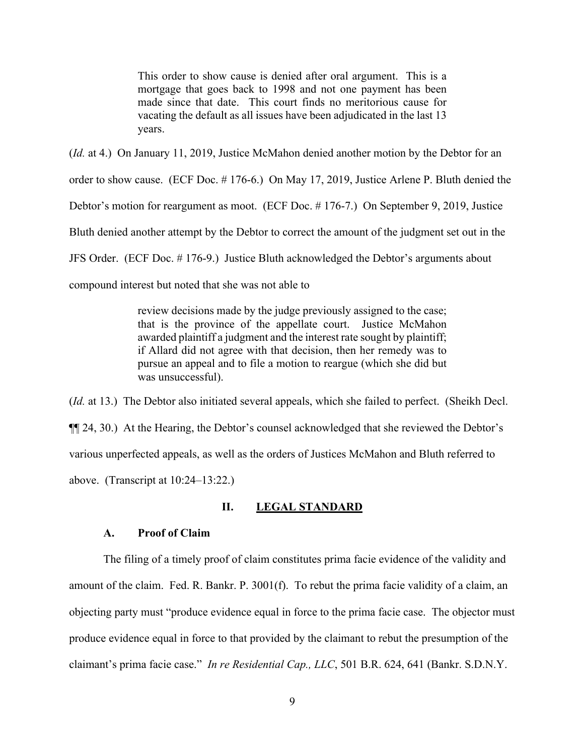This order to show cause is denied after oral argument. This is a mortgage that goes back to 1998 and not one payment has been made since that date. This court finds no meritorious cause for vacating the default as all issues have been adjudicated in the last 13 years.

(*Id.* at 4.) On January 11, 2019, Justice McMahon denied another motion by the Debtor for an

order to show cause. (ECF Doc. # 176-6.) On May 17, 2019, Justice Arlene P. Bluth denied the

Debtor's motion for reargument as moot. (ECF Doc. # 176-7.) On September 9, 2019, Justice

Bluth denied another attempt by the Debtor to correct the amount of the judgment set out in the

JFS Order. (ECF Doc. # 176-9.) Justice Bluth acknowledged the Debtor's arguments about

compound interest but noted that she was not able to

review decisions made by the judge previously assigned to the case; that is the province of the appellate court. Justice McMahon awarded plaintiff a judgment and the interest rate sought by plaintiff; if Allard did not agree with that decision, then her remedy was to pursue an appeal and to file a motion to reargue (which she did but was unsuccessful).

(*Id.* at 13.) The Debtor also initiated several appeals, which she failed to perfect. (Sheikh Decl. ¶¶ 24, 30.) At the Hearing, the Debtor's counsel acknowledged that she reviewed the Debtor's various unperfected appeals, as well as the orders of Justices McMahon and Bluth referred to above. (Transcript at 10:24–13:22.)

## **II. LEGAL STANDARD**

### **A. Proof of Claim**

The filing of a timely proof of claim constitutes prima facie evidence of the validity and amount of the claim. Fed. R. Bankr. P. 3001(f). To rebut the prima facie validity of a claim, an objecting party must "produce evidence equal in force to the prima facie case. The objector must produce evidence equal in force to that provided by the claimant to rebut the presumption of the claimant's prima facie case." *In re Residential Cap., LLC*, 501 B.R. 624, 641 (Bankr. S.D.N.Y.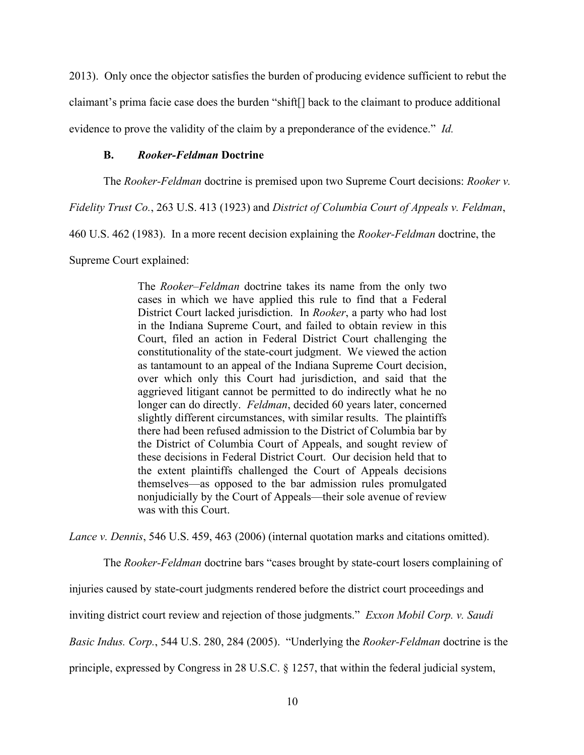2013). Only once the objector satisfies the burden of producing evidence sufficient to rebut the claimant's prima facie case does the burden "shift[] back to the claimant to produce additional evidence to prove the validity of the claim by a preponderance of the evidence." *Id.*

### **B.** *Rooker-Feldman* **Doctrine**

The *Rooker-Feldman* doctrine is premised upon two Supreme Court decisions: *Rooker v.* 

*Fidelity Trust Co.*, 263 U.S. 413 (1923) and *District of Columbia Court of Appeals v. Feldman*,

460 U.S. 462 (1983). In a more recent decision explaining the *Rooker-Feldman* doctrine, the

Supreme Court explained:

The *Rooker–Feldman* doctrine takes its name from the only two cases in which we have applied this rule to find that a Federal District Court lacked jurisdiction. In *Rooker*, a party who had lost in the Indiana Supreme Court, and failed to obtain review in this Court, filed an action in Federal District Court challenging the constitutionality of the state-court judgment. We viewed the action as tantamount to an appeal of the Indiana Supreme Court decision, over which only this Court had jurisdiction, and said that the aggrieved litigant cannot be permitted to do indirectly what he no longer can do directly. *Feldman*, decided 60 years later, concerned slightly different circumstances, with similar results. The plaintiffs there had been refused admission to the District of Columbia bar by the District of Columbia Court of Appeals, and sought review of these decisions in Federal District Court. Our decision held that to the extent plaintiffs challenged the Court of Appeals decisions themselves—as opposed to the bar admission rules promulgated nonjudicially by the Court of Appeals—their sole avenue of review was with this Court.

*Lance v. Dennis*, 546 U.S. 459, 463 (2006) (internal quotation marks and citations omitted).

The *Rooker-Feldman* doctrine bars "cases brought by state-court losers complaining of

injuries caused by state-court judgments rendered before the district court proceedings and

inviting district court review and rejection of those judgments." *Exxon Mobil Corp. v. Saudi* 

*Basic Indus. Corp.*, 544 U.S. 280, 284 (2005). "Underlying the *Rooker-Feldman* doctrine is the

principle, expressed by Congress in 28 U.S.C. § 1257, that within the federal judicial system,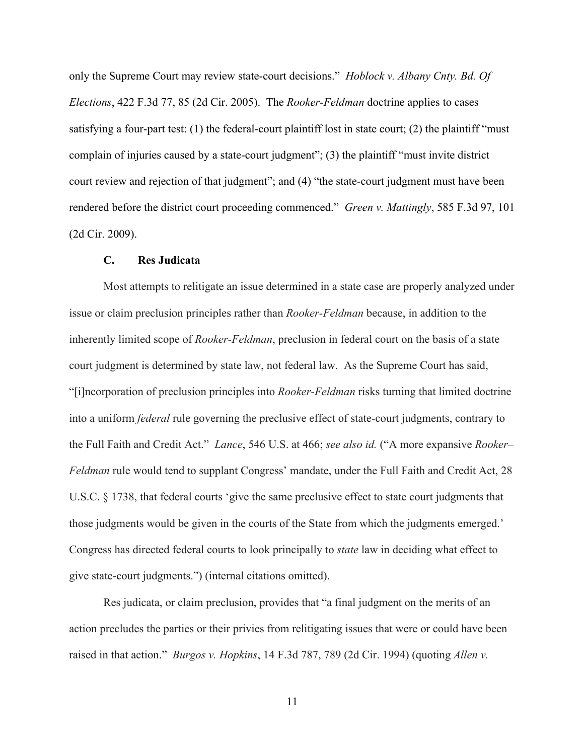only the Supreme Court may review state-court decisions." *Hoblock v. Albany Cnty. Bd. Of Elections*, 422 F.3d 77, 85 (2d Cir. 2005). The *Rooker-Feldman* doctrine applies to cases satisfying a four-part test: (1) the federal-court plaintiff lost in state court; (2) the plaintiff "must complain of injuries caused by a state-court judgment"; (3) the plaintiff "must invite district court review and rejection of that judgment"; and (4) "the state-court judgment must have been rendered before the district court proceeding commenced." *Green v. Mattingly*, 585 F.3d 97, 101 (2d Cir. 2009).

### **C. Res Judicata**

Most attempts to relitigate an issue determined in a state case are properly analyzed under issue or claim preclusion principles rather than *Rooker-Feldman* because, in addition to the inherently limited scope of *Rooker-Feldman*, preclusion in federal court on the basis of a state court judgment is determined by state law, not federal law. As the Supreme Court has said, "[i]ncorporation of preclusion principles into *Rooker-Feldman* risks turning that limited doctrine into a uniform *federal* rule governing the preclusive effect of state-court judgments, contrary to the Full Faith and Credit Act." *Lance*, 546 U.S. at 466; *see also id.* ("A more expansive *Rooker– Feldman* rule would tend to supplant Congress' mandate, under the Full Faith and Credit Act, 28 U.S.C. § 1738, that federal courts 'give the same preclusive effect to state court judgments that those judgments would be given in the courts of the State from which the judgments emerged.' Congress has directed federal courts to look principally to *state* law in deciding what effect to give state-court judgments.") (internal citations omitted).

Res judicata, or claim preclusion, provides that "a final judgment on the merits of an action precludes the parties or their privies from relitigating issues that were or could have been raised in that action." *Burgos v. Hopkins*, 14 F.3d 787, 789 (2d Cir. 1994) (quoting *Allen v.*

11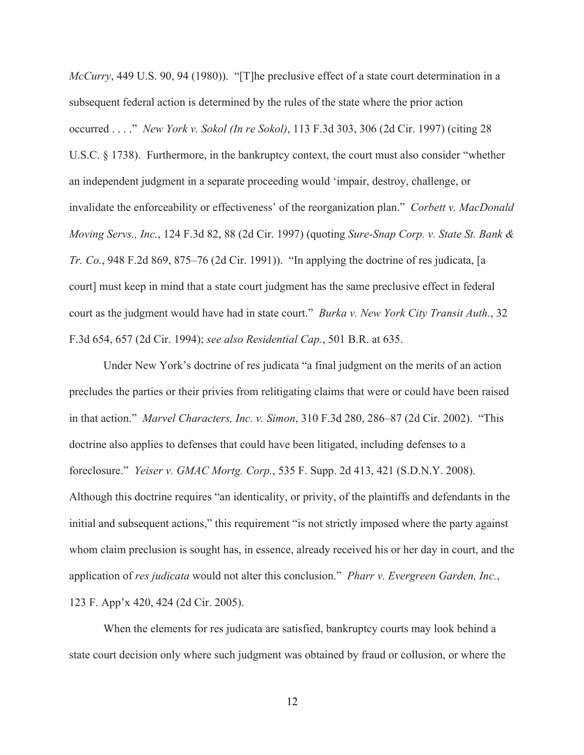*McCurry*, 449 U.S. 90, 94 (1980)). "[T]he preclusive effect of a state court determination in a subsequent federal action is determined by the rules of the state where the prior action occurred . . . ." *New York v. Sokol (In re Sokol)*, 113 F.3d 303, 306 (2d Cir. 1997) (citing 28 U.S.C. § 1738). Furthermore, in the bankruptcy context, the court must also consider "whether an independent judgment in a separate proceeding would 'impair, destroy, challenge, or invalidate the enforceability or effectiveness' of the reorganization plan." *Corbett v. MacDonald Moving Servs., Inc.*, 124 F.3d 82, 88 (2d Cir. 1997) (quoting *Sure-Snap Corp. v. State St. Bank & Tr. Co.*, 948 F.2d 869, 875–76 (2d Cir. 1991)). "In applying the doctrine of res judicata, [a court] must keep in mind that a state court judgment has the same preclusive effect in federal court as the judgment would have had in state court." *Burka v. New York City Transit Auth.*, 32 F.3d 654, 657 (2d Cir. 1994); *see also Residential Cap.*, 501 B.R. at 635.

Under New York's doctrine of res judicata "a final judgment on the merits of an action precludes the parties or their privies from relitigating claims that were or could have been raised in that action." *Marvel Characters, Inc. v. Simon*, 310 F.3d 280, 286–87 (2d Cir. 2002). "This doctrine also applies to defenses that could have been litigated, including defenses to a foreclosure." *Yeiser v. GMAC Mortg. Corp.*, 535 F. Supp. 2d 413, 421 (S.D.N.Y. 2008). Although this doctrine requires "an identicality, or privity, of the plaintiffs and defendants in the initial and subsequent actions," this requirement "is not strictly imposed where the party against whom claim preclusion is sought has, in essence, already received his or her day in court, and the application of *res judicata* would not alter this conclusion." *Pharr v. Evergreen Garden, Inc.*, 123 F. App'x 420, 424 (2d Cir. 2005).

When the elements for res judicata are satisfied, bankruptcy courts may look behind a state court decision only where such judgment was obtained by fraud or collusion, or where the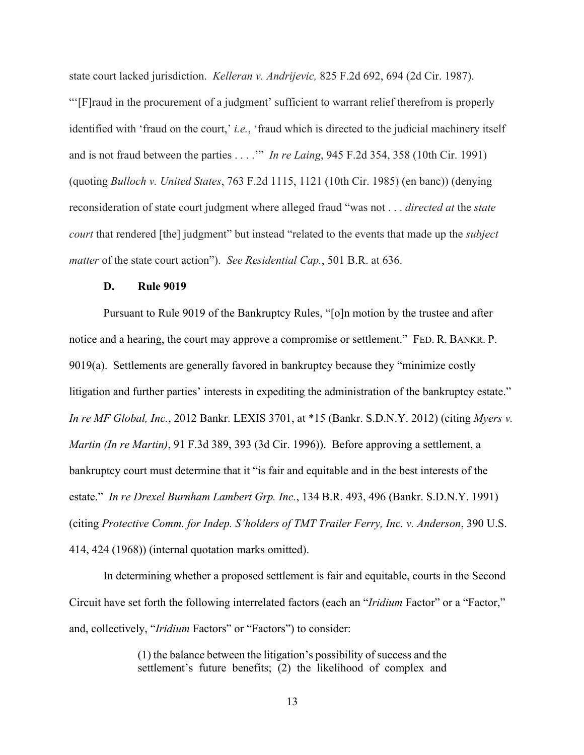state court lacked jurisdiction. *Kelleran v. Andrijevic,* 825 F.2d 692, 694 (2d Cir. 1987). "'[F]raud in the procurement of a judgment' sufficient to warrant relief therefrom is properly identified with 'fraud on the court,' *i.e.*, 'fraud which is directed to the judicial machinery itself and is not fraud between the parties . . . .'" *In re Laing*, 945 F.2d 354, 358 (10th Cir. 1991) (quoting *Bulloch v. United States*, 763 F.2d 1115, 1121 (10th Cir. 1985) (en banc)) (denying reconsideration of state court judgment where alleged fraud "was not . . . *directed at* the *state court* that rendered [the] judgment" but instead "related to the events that made up the *subject matter* of the state court action"). *See Residential Cap.*, 501 B.R. at 636.

#### **D. Rule 9019**

Pursuant to Rule 9019 of the Bankruptcy Rules, "[o]n motion by the trustee and after notice and a hearing, the court may approve a compromise or settlement." FED. R. BANKR. P. 9019(a). Settlements are generally favored in bankruptcy because they "minimize costly litigation and further parties' interests in expediting the administration of the bankruptcy estate." *In re MF Global, Inc.*, 2012 Bankr. LEXIS 3701, at \*15 (Bankr. S.D.N.Y. 2012) (citing *Myers v. Martin (In re Martin)*, 91 F.3d 389, 393 (3d Cir. 1996)). Before approving a settlement, a bankruptcy court must determine that it "is fair and equitable and in the best interests of the estate." *In re Drexel Burnham Lambert Grp. Inc.*, 134 B.R. 493, 496 (Bankr. S.D.N.Y. 1991) (citing *Protective Comm. for Indep. S'holders of TMT Trailer Ferry, Inc. v. Anderson*, 390 U.S. 414, 424 (1968)) (internal quotation marks omitted).

In determining whether a proposed settlement is fair and equitable, courts in the Second Circuit have set forth the following interrelated factors (each an "*Iridium* Factor" or a "Factor," and, collectively, "*Iridium* Factors" or "Factors") to consider:

> (1) the balance between the litigation's possibility of success and the settlement's future benefits; (2) the likelihood of complex and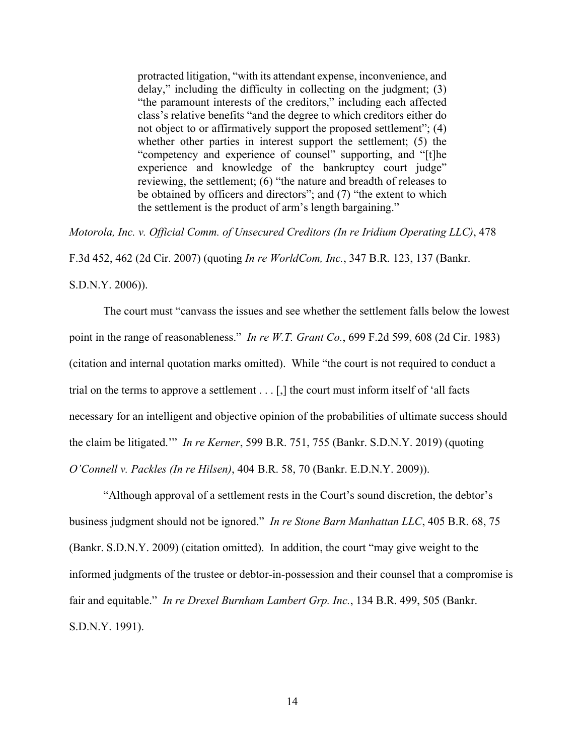protracted litigation, "with its attendant expense, inconvenience, and delay," including the difficulty in collecting on the judgment; (3) "the paramount interests of the creditors," including each affected class's relative benefits "and the degree to which creditors either do not object to or affirmatively support the proposed settlement"; (4) whether other parties in interest support the settlement; (5) the "competency and experience of counsel" supporting, and "[t]he experience and knowledge of the bankruptcy court judge" reviewing, the settlement; (6) "the nature and breadth of releases to be obtained by officers and directors"; and (7) "the extent to which the settlement is the product of arm's length bargaining."

*Motorola, Inc. v. Official Comm. of Unsecured Creditors (In re Iridium Operating LLC)*, 478

F.3d 452, 462 (2d Cir. 2007) (quoting *In re WorldCom, Inc.*, 347 B.R. 123, 137 (Bankr.

S.D.N.Y. 2006)).

The court must "canvass the issues and see whether the settlement falls below the lowest point in the range of reasonableness." *In re W.T. Grant Co.*, 699 F.2d 599, 608 (2d Cir. 1983) (citation and internal quotation marks omitted). While "the court is not required to conduct a trial on the terms to approve a settlement . . . [,] the court must inform itself of 'all facts necessary for an intelligent and objective opinion of the probabilities of ultimate success should the claim be litigated.'" *In re Kerner*, 599 B.R. 751, 755 (Bankr. S.D.N.Y. 2019) (quoting *O'Connell v. Packles (In re Hilsen)*, 404 B.R. 58, 70 (Bankr. E.D.N.Y. 2009)).

"Although approval of a settlement rests in the Court's sound discretion, the debtor's business judgment should not be ignored." *In re Stone Barn Manhattan LLC*, 405 B.R. 68, 75 (Bankr. S.D.N.Y. 2009) (citation omitted). In addition, the court "may give weight to the informed judgments of the trustee or debtor-in-possession and their counsel that a compromise is fair and equitable." *In re Drexel Burnham Lambert Grp. Inc.*, 134 B.R. 499, 505 (Bankr. S.D.N.Y. 1991).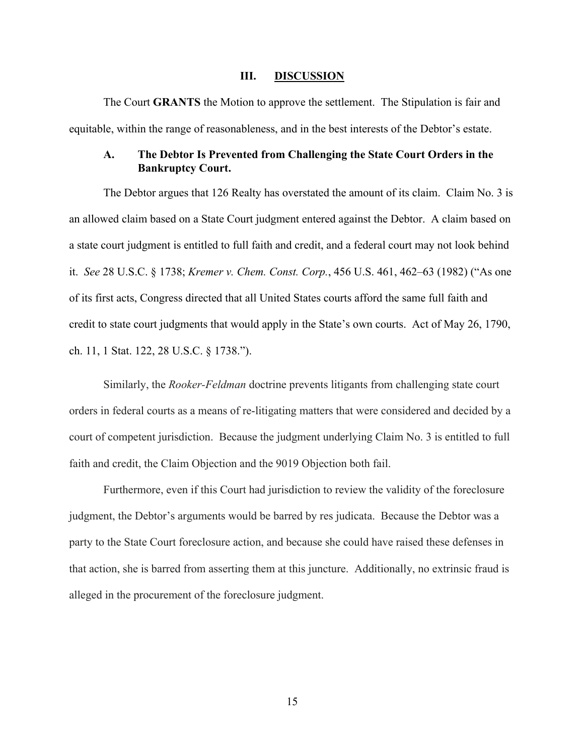#### **III. DISCUSSION**

The Court **GRANTS** the Motion to approve the settlement. The Stipulation is fair and equitable, within the range of reasonableness, and in the best interests of the Debtor's estate.

# **A. The Debtor Is Prevented from Challenging the State Court Orders in the Bankruptcy Court.**

The Debtor argues that 126 Realty has overstated the amount of its claim. Claim No. 3 is an allowed claim based on a State Court judgment entered against the Debtor. A claim based on a state court judgment is entitled to full faith and credit, and a federal court may not look behind it. *See* 28 U.S.C. § 1738; *Kremer v. Chem. Const. Corp.*, 456 U.S. 461, 462–63 (1982) ("As one of its first acts, Congress directed that all United States courts afford the same full faith and credit to state court judgments that would apply in the State's own courts. Act of May 26, 1790, ch. 11, 1 Stat. 122, 28 U.S.C. § 1738.").

Similarly, the *Rooker-Feldman* doctrine prevents litigants from challenging state court orders in federal courts as a means of re-litigating matters that were considered and decided by a court of competent jurisdiction. Because the judgment underlying Claim No. 3 is entitled to full faith and credit, the Claim Objection and the 9019 Objection both fail.

Furthermore, even if this Court had jurisdiction to review the validity of the foreclosure judgment, the Debtor's arguments would be barred by res judicata. Because the Debtor was a party to the State Court foreclosure action, and because she could have raised these defenses in that action, she is barred from asserting them at this juncture. Additionally, no extrinsic fraud is alleged in the procurement of the foreclosure judgment.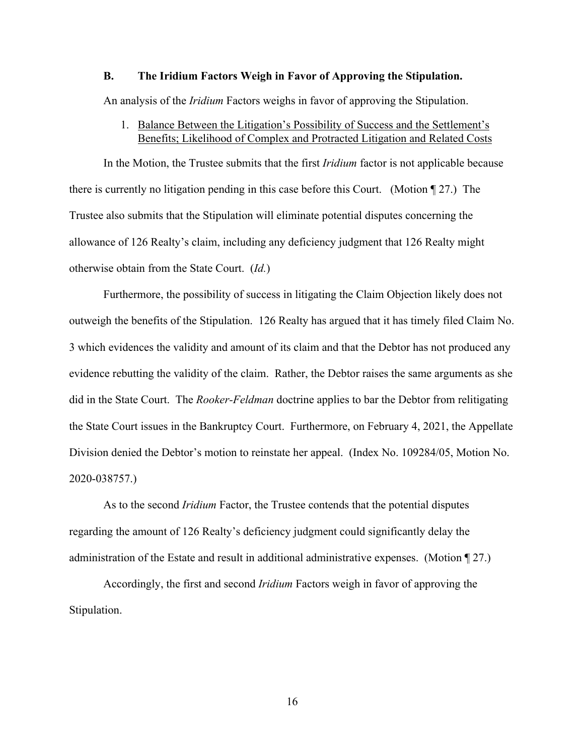#### **B. The Iridium Factors Weigh in Favor of Approving the Stipulation.**

An analysis of the *Iridium* Factors weighs in favor of approving the Stipulation.

# 1. Balance Between the Litigation's Possibility of Success and the Settlement's Benefits; Likelihood of Complex and Protracted Litigation and Related Costs

In the Motion, the Trustee submits that the first *Iridium* factor is not applicable because there is currently no litigation pending in this case before this Court. (Motion ¶ 27.) The Trustee also submits that the Stipulation will eliminate potential disputes concerning the allowance of 126 Realty's claim, including any deficiency judgment that 126 Realty might otherwise obtain from the State Court. (*Id.*)

Furthermore, the possibility of success in litigating the Claim Objection likely does not outweigh the benefits of the Stipulation. 126 Realty has argued that it has timely filed Claim No. 3 which evidences the validity and amount of its claim and that the Debtor has not produced any evidence rebutting the validity of the claim. Rather, the Debtor raises the same arguments as she did in the State Court. The *Rooker-Feldman* doctrine applies to bar the Debtor from relitigating the State Court issues in the Bankruptcy Court. Furthermore, on February 4, 2021, the Appellate Division denied the Debtor's motion to reinstate her appeal. (Index No. 109284/05, Motion No. 2020-038757.)

As to the second *Iridium* Factor, the Trustee contends that the potential disputes regarding the amount of 126 Realty's deficiency judgment could significantly delay the administration of the Estate and result in additional administrative expenses. (Motion ¶ 27.)

Accordingly, the first and second *Iridium* Factors weigh in favor of approving the Stipulation.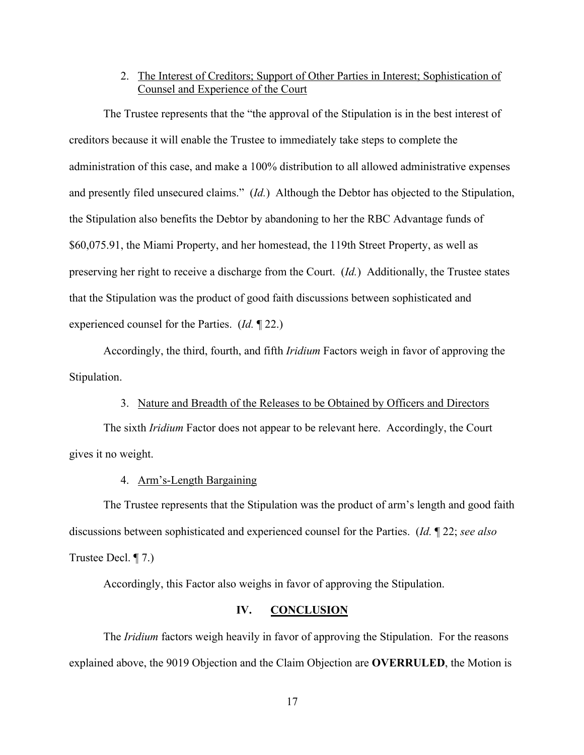# 2. The Interest of Creditors; Support of Other Parties in Interest; Sophistication of Counsel and Experience of the Court

The Trustee represents that the "the approval of the Stipulation is in the best interest of creditors because it will enable the Trustee to immediately take steps to complete the administration of this case, and make a 100% distribution to all allowed administrative expenses and presently filed unsecured claims." (*Id.*) Although the Debtor has objected to the Stipulation, the Stipulation also benefits the Debtor by abandoning to her the RBC Advantage funds of \$60,075.91, the Miami Property, and her homestead, the 119th Street Property, as well as preserving her right to receive a discharge from the Court. (*Id.*) Additionally, the Trustee states that the Stipulation was the product of good faith discussions between sophisticated and experienced counsel for the Parties. (*Id.* ¶ 22.)

Accordingly, the third, fourth, and fifth *Iridium* Factors weigh in favor of approving the Stipulation.

### 3. Nature and Breadth of the Releases to be Obtained by Officers and Directors

The sixth *Iridium* Factor does not appear to be relevant here. Accordingly, the Court gives it no weight.

## 4. Arm's-Length Bargaining

The Trustee represents that the Stipulation was the product of arm's length and good faith discussions between sophisticated and experienced counsel for the Parties. (*Id.* ¶ 22; *see also*  Trustee Decl. ¶ 7.)

Accordingly, this Factor also weighs in favor of approving the Stipulation.

## **IV. CONCLUSION**

The *Iridium* factors weigh heavily in favor of approving the Stipulation. For the reasons explained above, the 9019 Objection and the Claim Objection are **OVERRULED**, the Motion is

17